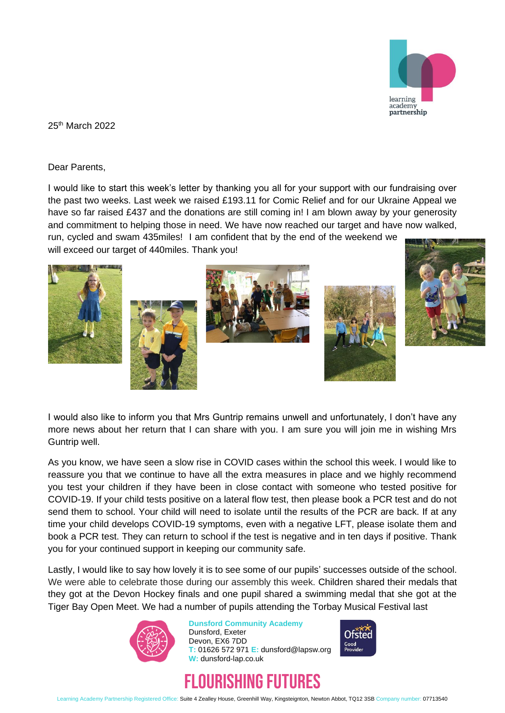

25th March 2022

Dear Parents,

I would like to start this week's letter by thanking you all for your support with our fundraising over the past two weeks. Last week we raised £193.11 for Comic Relief and for our Ukraine Appeal we have so far raised £437 and the donations are still coming in! I am blown away by your generosity and commitment to helping those in need. We have now reached our target and have now walked,

run, cycled and swam 435miles! I am confident that by the end of the weekend we will exceed our target of 440miles. Thank you!











I would also like to inform you that Mrs Guntrip remains unwell and unfortunately, I don't have any more news about her return that I can share with you. I am sure you will join me in wishing Mrs Guntrip well.

As you know, we have seen a slow rise in COVID cases within the school this week. I would like to reassure you that we continue to have all the extra measures in place and we highly recommend you test your children if they have been in close contact with someone who tested positive for COVID-19. If your child tests positive on a lateral flow test, then please book a PCR test and do not send them to school. Your child will need to isolate until the results of the PCR are back. If at any time your child develops COVID-19 symptoms, even with a negative LFT, please isolate them and book a PCR test. They can return to school if the test is negative and in ten days if positive. Thank you for your continued support in keeping our community safe.

Lastly, I would like to say how lovely it is to see some of our pupils' successes outside of the school. We were able to celebrate those during our assembly this week. Children shared their medals that they got at the Devon Hockey finals and one pupil shared a swimming medal that she got at the Tiger Bay Open Meet. We had a number of pupils attending the Torbay Musical Festival last



**Dunsford Community Academy** Dunsford, Exeter Devon, EX6 7DD **T:** 01626 572 971 **E:** dunsford@lapsw.org **W:** dunsford-lap.co.uk





Learning Academy Partnership Registered Office: Suite 4 Zealley House, Greenhill Way, Kingsteignton, Newton Abbot, TQ12 3SB Company number: 07713540